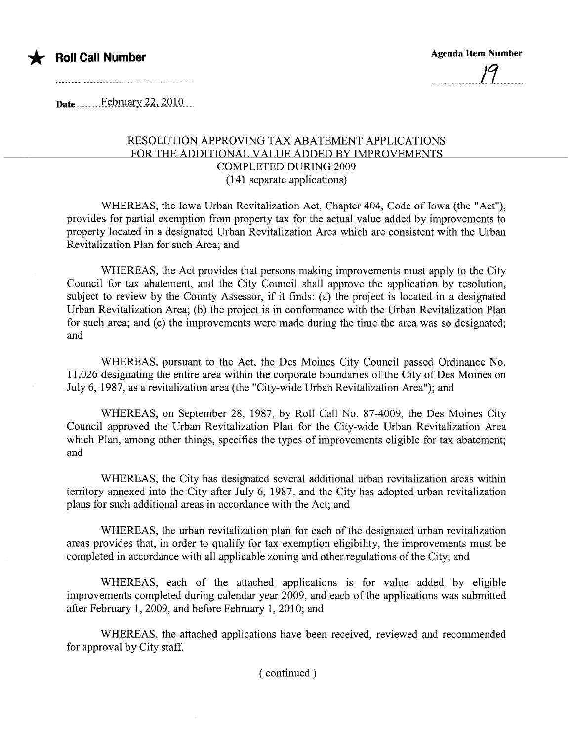

Date..............F.~nD.H!Jy.2.2.,..2.Q.lO'....

## RESOLUTION APPROVING TAX ABATEMENT APPLICATIONS FOR THE ADDITIONAl, VAllIE ADDED BY IMPROVEMENTS COMPLETED DURING 2009 (141 separate applications)

WHEREAS, the Iowa Urban Revitalization Act, Chapter 404, Code of Iowa (the "Act"), provides for partial exemption from property tax for the actual value added by improvements to property located in a designated Urban Revitalization Area which are consistent with the Urban Revitalization Plan for such Area; and

WHEREAS, the Act provides that persons making improvements must apply to the City Council for tax abatement, and the City Council shall approve the application by resolution, subject to review by the County Assessor, if it finds: (a) the project is located in a designated Urban Revitalization Area; (b) the project is in conformance with the Urban Revitalization Plan for such area; and (c) the improvements were made during the time the area was so designated; and

WHEREAS, pursuant to the Act, the Des Moines City Council passed Ordinance No. 11,026 designating the entire area within the corporate boundaries of the City of Des Moines on July 6, 1987, as a revitalization area (the "City-wide Urban Revitalization Area"); and

WHEREAS, on September 28, 1987, by Roll Call No. 87-4009, the Des Moines City Council approved the Urban Revitalization Plan for the City-wide Urban Revitalization Area which Plan, among other things, specifies the types of improvements eligible for tax abatement; and

WHEREAS, the City has designated several additional urban revitalization areas within territory annexed into the City after July 6, 1987, and the City has adopted urban revitalization plans for such additional areas in accordance with the Act; and

WHEREAS, the urban revitalization plan for each of the designated urban revitalization areas provides that, in order to qualify for tax exemption eligibility, the improvements must be completed in accordance with all applicable zoning and other regulations of the City; and

WHEREAS, each of the attached applications is for value added by eligible improvements completed during calendar year 2009, and each of the applications was submitted after February 1, 2009, and before February 1, 2010; and

WHEREAS, the attached applications have been received, reviewed and recommended for approval by City staff.

( continued)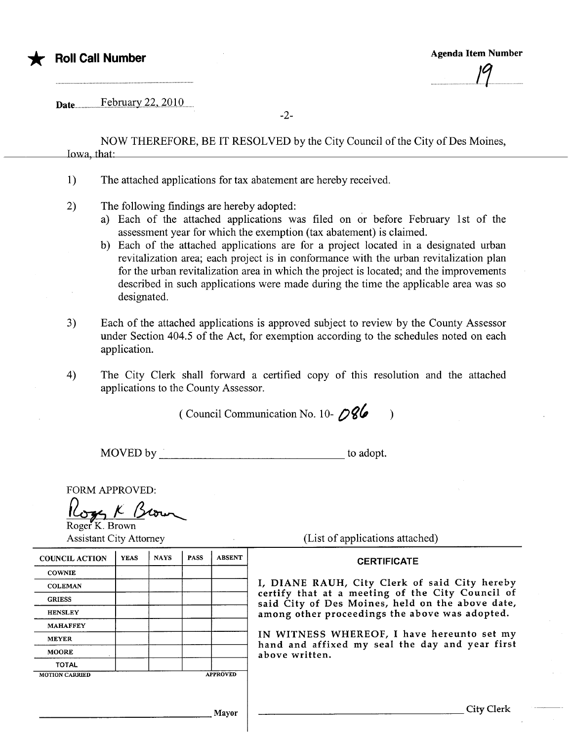

............1......

Date.............F.~n.mar.y..2.2.,..2.O'lO'....

-2-

NOW THEREFORE, BE IT RESOLVED by the City Council of the City of Des Moines, Iowa, that:

- 1) The attached applications for tax abatement are hereby received.
- 2) The following findings are hereby adopted:
	- a) Each of the attached applications was fied on or before February 1st of the assessment year for which the exemption (tax abatement) is claimed.
	- b) Each of the attached applications are for a project located in a designated urban revitalization area; each project is in conformance with the urban revitalization plan for the urban revitalization area in which the project is located; and the improvements described in such applications were made during the time the applicable area was so designated.
- 3) Each of the attached applications is approved subject to review by the County Assessor under Section 404.5 of the Act, for exemption according to the schedules noted on each application.
- 4) The City Clerk shall forward a certified copy of this resolution and the attached applications to the County Assessor.

( Council Communication No. 10- $\sqrt{86}$ )

MOVED by to adopt.

FORM APPROVED: FORM APPROVED:<br>Logg K Berwy

Roger K. Brown

| <b>Assistant City Attorney</b> |             |             |             |                 | (List of applications attached)                                                                      |
|--------------------------------|-------------|-------------|-------------|-----------------|------------------------------------------------------------------------------------------------------|
| <b>COUNCIL ACTION</b>          | <b>YEAS</b> | <b>NAYS</b> | <b>PASS</b> | <b>ABSENT</b>   | <b>CERTIFICATE</b>                                                                                   |
| <b>COWNIE</b>                  |             |             |             |                 |                                                                                                      |
| <b>COLEMAN</b>                 |             |             |             |                 | I, DIANE RAUH, City Clerk of said City hereby                                                        |
| <b>GRIESS</b>                  |             |             |             |                 | certify that at a meeting of the City Council of<br>said City of Des Moines, held on the above date, |
| <b>HENSLEY</b>                 |             |             |             |                 | among other proceedings the above was adopted.                                                       |
| <b>MAHAFFEY</b>                |             |             |             |                 |                                                                                                      |
| <b>MEYER</b>                   |             |             |             |                 | IN WITNESS WHEREOF, I have hereunto set my                                                           |
| <b>MOORE</b>                   |             |             |             |                 | hand and affixed my seal the day and year first<br>above written.                                    |
| <b>TOTAL</b>                   |             |             |             |                 |                                                                                                      |
| <b>MOTION CARRIED</b>          |             |             |             | <b>APPROVED</b> |                                                                                                      |
|                                |             |             |             |                 |                                                                                                      |
|                                |             |             |             |                 | City Clerk                                                                                           |
|                                |             |             |             | Mayor           |                                                                                                      |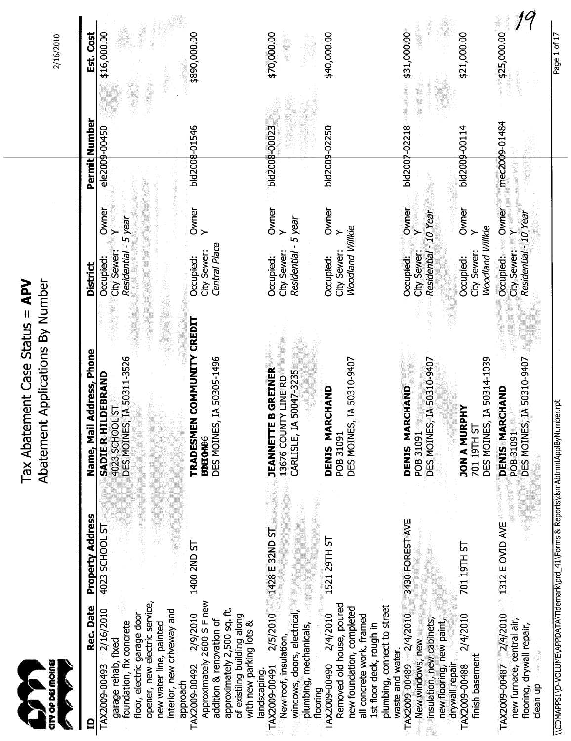| CITY OP DES MOINES<br>E<br>$\mathcal{T}$                                                                                                                                                               |                                | Abatement Applications By Number<br>Tax Abatement Case Status = APV                                          |                                                                                                                |                                | 2/16/2010                  |
|--------------------------------------------------------------------------------------------------------------------------------------------------------------------------------------------------------|--------------------------------|--------------------------------------------------------------------------------------------------------------|----------------------------------------------------------------------------------------------------------------|--------------------------------|----------------------------|
| Rec. Date<br>g                                                                                                                                                                                         | Property Address               | Name, Mail Address, Phone                                                                                    | <b>District</b>                                                                                                | Permit Number                  | Est. Cost                  |
| opener, new electric service,<br>interior, new driveway and<br>2/16/2010<br>floor, electric garage door<br>foundation, fix concrete<br>new water line, painted<br>garage rehab, fixed<br>TAX2009-00493 | 4023 SCHOOL ST                 | DES MOINES, IA 50311-3526<br>SADIE RHILDEBRAND<br>4023 SCHOOL ST                                             | Owner<br>$-5$ year<br>ৃ<br>Residential<br>City Sewer:<br>Occupied:                                             | ele2009-00450                  | \$16,000.00                |
| Approximately 2600 S F new<br>approximately 2,500 sq. ft.<br>2/9/2010<br>of existilng building along<br>addition & renovation of<br>with new parking lots &<br>TAX2009-00492<br>approach               | 1400 2ND ST                    | TRADESMEN COMMUNITY CREDIT<br>DES MOINES, IA 50305-1496<br><b>BONEONES</b>                                   | Owner<br>Y<br>Central Place<br>City Sewer:<br>Occupied:                                                        | bld2008-01546                  | \$890,000.00               |
| windows, doors, electrical,<br>2/5/2010<br>plumbing, mechanicals,<br>New roof, insulation,<br>TAX2009-00491<br>landscaping.                                                                            | 1428 E 32ND ST                 | <b>JEANNETTE B GREINER</b><br>13676 COUNTY LINE RD<br>IA 50047-3235<br>CARLISLE,                             | Owner<br>5 year<br>$\rightarrow$<br>$\mathbf{I}$<br>City Sewer:<br>Residential<br>Occupied:                    | bid2008-00023                  | \$70,000.00                |
| Removed old house, poured<br>plumbing, connect to street<br>new foundation, completed<br>2/4/2010<br>all concrete work, framed<br>1st floor deck, rough in<br>TAX2009-00490<br>flooring                | 1521 29TH ST                   | DES MOINES, IA 50310-9407<br>DENIS MARCHAND<br>POB 31091                                                     | Owner<br>Woodland Willkie<br>≻<br>City Sewer:<br>Occupied:                                                     | bld2009-02250                  | \$40,000.00                |
| TAX2009-00489 2/4/2010<br>2/4/2010<br>insulation, new cabinets,<br>new flooring, new paint,<br>New windows, new<br>waste and water.<br>drywall repair<br>TAX2009-00488                                 | 3430 FOREST AVE<br>701 19TH ST | DES MOINES, IA 50310-9407<br><b>ARCHAND</b><br><b>JON A MURPHY</b><br><b>DENIS M</b><br>POB 31091            | <b>Owner</b><br>Residential - 10 Year<br>Owner<br>$\succ$<br>Occupied:<br>City Sewer:<br>Occupied:             | bld2007-02218<br>bld2009-00114 | \$31,000.00<br>\$21,000.00 |
| $TX2009-00487-2/4/2010$<br>new furnace, central air,<br>flooring, drywall repair,<br>finish basement                                                                                                   | $1312$ E OVID AVE              | DES MOINES, IA 50314-1039<br>DES MOINES, IA 50310-9407<br>DENIS MARCHAND<br>ದ<br><b>POB 31091</b><br>70119TH | Occupied: Owner<br>Residential - 10 Year<br>City Sewer: <b>Y</b><br>Woodland Willkie<br>$\succ$<br>City Sewer: | mec2009-01484                  | \$25,000.00                |
| \\CDMAPPS1\D-VOLUME\APPDATA\Tidemark\prd_41\Forms & Reports\dsmAbtmntApplByNumber.rpt<br>clean up                                                                                                      |                                |                                                                                                              |                                                                                                                |                                | Page 1 of 17               |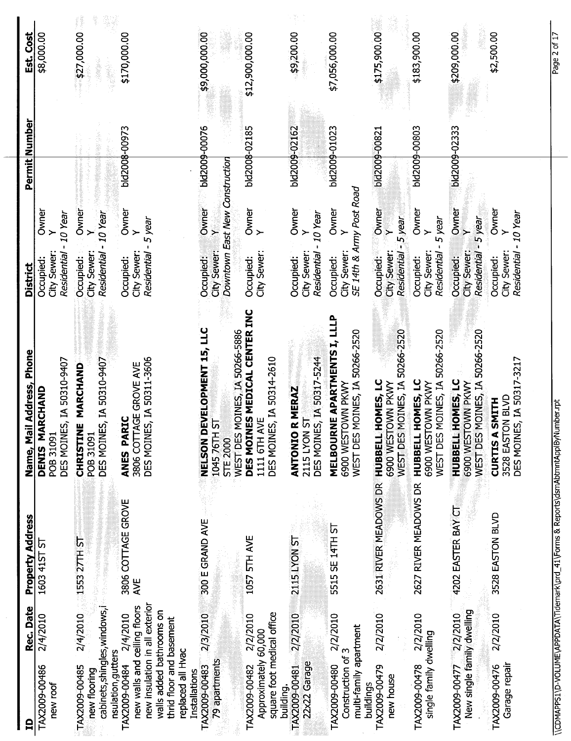| Est. Cost                 | \$8,000.00                                               | \$27,000.00                                               |                                                                                                                                    | \$9,000,000.00<br>\$12,900,000.00                                                                                         | \$9,200.00                                                      | \$7,056,000.00                                                      | \$175,900.00                                   | \$183,900.00                            | \$209,000.00<br>\$2,500.00                                                                           | Page 2 of 17                                                                          |
|---------------------------|----------------------------------------------------------|-----------------------------------------------------------|------------------------------------------------------------------------------------------------------------------------------------|---------------------------------------------------------------------------------------------------------------------------|-----------------------------------------------------------------|---------------------------------------------------------------------|------------------------------------------------|-----------------------------------------|------------------------------------------------------------------------------------------------------|---------------------------------------------------------------------------------------|
|                           |                                                          |                                                           | \$170,000.00                                                                                                                       |                                                                                                                           |                                                                 |                                                                     |                                                |                                         |                                                                                                      |                                                                                       |
|                           |                                                          |                                                           |                                                                                                                                    |                                                                                                                           |                                                                 |                                                                     |                                                |                                         |                                                                                                      |                                                                                       |
|                           |                                                          |                                                           |                                                                                                                                    |                                                                                                                           |                                                                 |                                                                     |                                                |                                         |                                                                                                      |                                                                                       |
|                           |                                                          |                                                           |                                                                                                                                    |                                                                                                                           |                                                                 |                                                                     |                                                |                                         |                                                                                                      |                                                                                       |
| Permit Number             |                                                          |                                                           | bld2008-00973                                                                                                                      | $10009 - 00076$<br>bld2008-02185                                                                                          | bld2009-02162                                                   | bld2009-01023                                                       | bid2009-00821                                  | bld2009-00803                           | bid2009-02333                                                                                        |                                                                                       |
|                           |                                                          |                                                           |                                                                                                                                    |                                                                                                                           |                                                                 |                                                                     |                                                |                                         |                                                                                                      |                                                                                       |
|                           | Owner<br>Y<br>10 Year                                    | Owner<br>- 10 Year<br>$\geq$                              | Owner<br>5 year                                                                                                                    | Downtown East New Construction<br>owner<br>Y<br>Owner<br>Y                                                                | Owner<br>10 Year                                                | SE 14th & Army Post Road<br>Owner<br>$\rightarrow$                  | Owner<br>5 year<br>$\leftarrow$                | Owner<br>5 year<br>$\rightarrow$        | Owner<br>Owner<br>5 year<br>- 10 Year<br>्<br>≻                                                      |                                                                                       |
|                           |                                                          |                                                           |                                                                                                                                    |                                                                                                                           |                                                                 |                                                                     |                                                |                                         |                                                                                                      |                                                                                       |
| <b>District</b>           | Residential<br>City Sewer<br>Occupied:                   | Residential<br>City Sewer:<br>Occupied:                   | City Sewer:<br>Residential<br>Occupied:                                                                                            | City Sewer:<br>City Sewer:<br>Occupied:<br>Occupied:                                                                      | City Sewer:<br>Residential<br>Occupied:                         | City Sewer:<br>Occupied:                                            | City Sewer:<br>Occupied:<br><b>Residential</b> | City Sewer:<br>Residential<br>Occupied: | <b>Residential</b><br>City Sewer:<br>City Sewer:<br>Residential<br>Occupied:<br>Occupied:            |                                                                                       |
|                           |                                                          |                                                           |                                                                                                                                    |                                                                                                                           |                                                                 |                                                                     |                                                |                                         |                                                                                                      |                                                                                       |
|                           |                                                          |                                                           |                                                                                                                                    | DES MOINES MEDICAL CENTER INC                                                                                             |                                                                 |                                                                     |                                                |                                         |                                                                                                      |                                                                                       |
|                           |                                                          |                                                           |                                                                                                                                    | MOINES, IA 50266-5886                                                                                                     |                                                                 | MOINES, IA 50266-2520                                               | MOINES, IA 50266-2520                          | MOINES, IA 50266-2520                   | MOINES, IA 50266-2520                                                                                |                                                                                       |
|                           |                                                          | IE MARCHAND                                               |                                                                                                                                    |                                                                                                                           |                                                                 |                                                                     |                                                |                                         |                                                                                                      |                                                                                       |
|                           |                                                          |                                                           |                                                                                                                                    |                                                                                                                           | R MERAZ                                                         | <b>TOWN PKWY</b>                                                    | HOMES, LC<br><b>LOMN PKWY</b>                  | HOMES, LC<br><b>OWN PKWY</b>            | HOMES, LC<br><b>OWN PKWY</b><br><b>SMITH</b>                                                         |                                                                                       |
|                           |                                                          |                                                           | <b>DIR</b>                                                                                                                         | চ                                                                                                                         | ದ                                                               |                                                                     |                                                |                                         |                                                                                                      |                                                                                       |
| Name, Mail Address, Phone | DES MOINES, IA 50310-9407<br>DENIS MARCHAND<br>POB 31091 | DES MOINES, IA 50310-9407<br><b>CHRISTIN</b><br>POB 31091 | DES MOINES, IA 50311-3606<br>3806 COTTAGE GROVE AVE<br>ANES PAI                                                                    | NELSON DEVELOPMENT 15, LLC<br>DES MOINES, IA 50314-2610<br>1111 6TH AVE<br>104576TH<br><b>WEST DES</b><br><b>STE 2000</b> | DES MOINES, IA 50317-5244<br><b>ANTONIO</b><br><b>2115 LYON</b> | <b>MELBOURNE APARTMENTS I, LLLP</b><br>6900 WEST<br><b>WEST DES</b> | HUBBELL<br>6900 WEST<br>WEST DES               | WEST DES<br><b>HUBBELL</b><br>6900 WEST | DES MOINES, IA 50317-3217<br>3528 EASTON BLVD<br>HUBBELL<br>WEST DES<br><b>CURTIS A</b><br>6900 WEST |                                                                                       |
|                           |                                                          |                                                           |                                                                                                                                    |                                                                                                                           |                                                                 |                                                                     |                                                |                                         |                                                                                                      |                                                                                       |
|                           |                                                          |                                                           |                                                                                                                                    |                                                                                                                           |                                                                 |                                                                     | 2631 RIVER MEADOWS DR                          |                                         |                                                                                                      |                                                                                       |
|                           |                                                          |                                                           | 3806 COTTAGE GROVE                                                                                                                 |                                                                                                                           |                                                                 |                                                                     |                                                |                                         | 3528 EASTON BLVD                                                                                     |                                                                                       |
|                           |                                                          |                                                           |                                                                                                                                    |                                                                                                                           |                                                                 |                                                                     |                                                |                                         |                                                                                                      |                                                                                       |
| <b>Property Address</b>   | 1603 41ST ST                                             | 1553 27TH ST                                              | AVE                                                                                                                                | 300 E GRAND AVE<br>1057 5TH AVE                                                                                           | 2115 LYON ST                                                    | 5515 SE 14TH ST                                                     |                                                | 2627 RIVER MEADOWS DR                   | 4202 EASTER BAY CT                                                                                   |                                                                                       |
|                           |                                                          |                                                           |                                                                                                                                    |                                                                                                                           |                                                                 |                                                                     |                                                |                                         |                                                                                                      | \\CDMAPPS1\D-VOLUME\APPDATA\Tidemark\prd_41\Forms & Reports\dsmAbtmntApplByNumber.rpt |
| Rec. Date                 | 2/4/2010                                                 | 2/4/2010<br>cabinets, shingles, windows, i                | new insulation in all exterior<br>new walls and ceiling floors<br>walls added bathrooms on<br>2/4/2010<br>thrid floor and basement | square foot medical office<br>2/3/2010<br>2/2/2010                                                                        | TAX2009-00481 2/2/2010                                          | 2/2/2010                                                            | 2/2/2010                                       | 2/2/2010                                | New single family dwelling<br>TAX2009-00477 2/2/2010<br>2/2/2010                                     |                                                                                       |
|                           |                                                          |                                                           |                                                                                                                                    | Approximately 60,000                                                                                                      |                                                                 | multi-family apartment                                              |                                                | single family dwelling                  |                                                                                                      |                                                                                       |
|                           |                                                          | nsulation, gutter<br>new flooring                         | replaced all Hvac<br><b>Installations</b>                                                                                          | 79 apartments                                                                                                             | 22x22 Garage                                                    | Construction of 3                                                   | new house                                      |                                         | Garage repair                                                                                        |                                                                                       |
|                           | TAX2009-00486<br>new roof                                | TAX2009-00485                                             | TAX2009-00484                                                                                                                      | TAX2009-00482<br>TAX2009-00483<br>building.                                                                               |                                                                 | TAX2009-00480                                                       | TAX2009-00479<br>buildings                     | TAX2009-00478                           | TAX2009-00476                                                                                        |                                                                                       |
| $\mathbf{a}$              |                                                          |                                                           |                                                                                                                                    |                                                                                                                           |                                                                 |                                                                     |                                                |                                         |                                                                                                      |                                                                                       |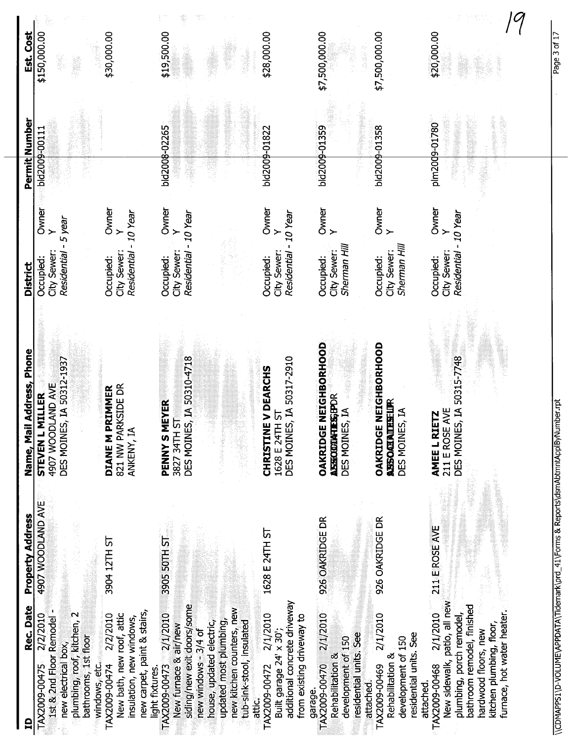| Est. Cost                 | \$30,000.00<br>\$150,000.00                                                                                                                                                                                                                                               | \$19,500.00<br>\$28,000.00                                                                                                                                                                                                                                                                                                                                                            | \$7,500,000.00<br>\$7,500,000.00                                                                                                                                                                            | \$20,000.00                                                                                                                                                                                                        |
|---------------------------|---------------------------------------------------------------------------------------------------------------------------------------------------------------------------------------------------------------------------------------------------------------------------|---------------------------------------------------------------------------------------------------------------------------------------------------------------------------------------------------------------------------------------------------------------------------------------------------------------------------------------------------------------------------------------|-------------------------------------------------------------------------------------------------------------------------------------------------------------------------------------------------------------|--------------------------------------------------------------------------------------------------------------------------------------------------------------------------------------------------------------------|
| Permit Number             | bld2009-00111                                                                                                                                                                                                                                                             | bld2008-02265<br>bld2009-01822                                                                                                                                                                                                                                                                                                                                                        | bld2009-01358<br>bld2009-01359                                                                                                                                                                              | plm2009-01780                                                                                                                                                                                                      |
| <b>District</b>           | <b>Owner</b><br>Owner<br>Residential - 10 Year<br>- 5 year<br>$\ddot{\phantom{1}}$<br>City Sewer:<br><b>Residential</b><br>City Sewer:<br>Occupied:<br>Occupied:                                                                                                          | Owner<br>Y<br>Owner<br>Residential - 10 Year<br>Residential - 10 Year<br>City Sewer:<br>City Sewer:<br>Occupied:<br>Occupied:                                                                                                                                                                                                                                                         | Owner<br>Owner<br>Y<br>$\rightarrow$<br>Sherman Hill<br>Sherman Hill<br>City Sewer:<br>City Sewer:<br>Occupied:<br>Occupied:                                                                                | Owner<br>Residential - 10 Year<br>$\geq$<br>City Sewer:<br>Occupied:                                                                                                                                               |
| Name, Mail Address, Phone | DES MOINES, IA 50312-1937<br>4907 WOODLAND AVE<br>821 NW PARKSIDE DR<br><b>PRIMMER</b><br><b>STEVEN L MILLER</b><br>ANKENY, IA<br><b>DIANEM</b>                                                                                                                           | DES MOINES, IA 50310-4718<br>DES MOINES, IA 50317-2910<br><b>CHRISTINE V DEARCHS</b><br><b>MEYER</b><br>1628 E 24TH ST<br>$\overline{5}$<br>3827 34TH<br>PENNYS                                                                                                                                                                                                                       | <b>OAKRIDGE NEIGHBORHOOD</b><br>OAKRIDGE NEIGHBORHOOD<br><b>ASHOODIATES;PDR</b><br><b>ASSOGIALIES-UP</b><br>DES MOINES, IA<br>DES MOINES, IA                                                                | DES MOINES, IA 50315-7748<br><b>JAYE</b><br>AMEE L RIETZ<br>211 E ROS                                                                                                                                              |
| <b>Property Address</b>   | <b>4907 WOODLAND AVE</b><br>3904 12TH ST                                                                                                                                                                                                                                  | 1628 E 24TH ST<br>3905 50TH ST                                                                                                                                                                                                                                                                                                                                                        | 926 OAKRIDGE DR<br>926 OAKRIDGE DR                                                                                                                                                                          | 211 E ROSE AVE                                                                                                                                                                                                     |
| Rec. Date                 | 1st & 2nd Floor Remodel -<br>new carpet, paint & stairs,<br>plumbing, roof, kitchen, 2<br>2/2/2010<br>New bath, new roof, attic<br>2/2/2010<br>insulation, new windows,<br>bathrooms, 1st floor<br>new electrical box,<br>windows, etc.<br>TAX2009-00475<br>TAX2009-00474 | additional concrete driveway<br>siding/new exit doors/some<br>new kitchen counters, new<br>TAX2009-00473 2/1/2010<br>2/1/2010<br>from existing driveway to<br>updated most plumbing,<br>house, updated electric,<br>tub-sink-stool, insulated<br>New furnace & air/new<br>new windows - 3/4 of<br>Built garage 24' x 30';<br>TAX2009-00472<br>light fixtures.<br>garage.<br>atti<br>R | 2/1/2010<br>2/1/2010<br>residential units. See<br>residential units. See<br>development of 150<br>development of 150<br>Rehabilitation &<br>Rehabilitation &<br>TAX2009-00470<br>TAX2009-00469<br>attached. | New sidewalk, patio, all new<br>bathroom remodel, finished<br>furnace, hot water heater.<br>plumbing, porch remodel,<br>2/1/2010<br>kitchen plumbing, floor,<br>hardwood floors, new<br>TAX2009-00468<br>attached. |

\\CDMAPPS1\D-VOLUME\APPDATA\Tidemark\prd\_41\Forms & Reports\dsmAbtmntApplByNumber.rpt \ \CDMAPPS1 \D-VOLUME\APPDATA\Tidemark\prd\_ 41 \Forms & Report\dsmAbtmntAppIByNumber.rpt

Page 3 of 17 Page 3 of 17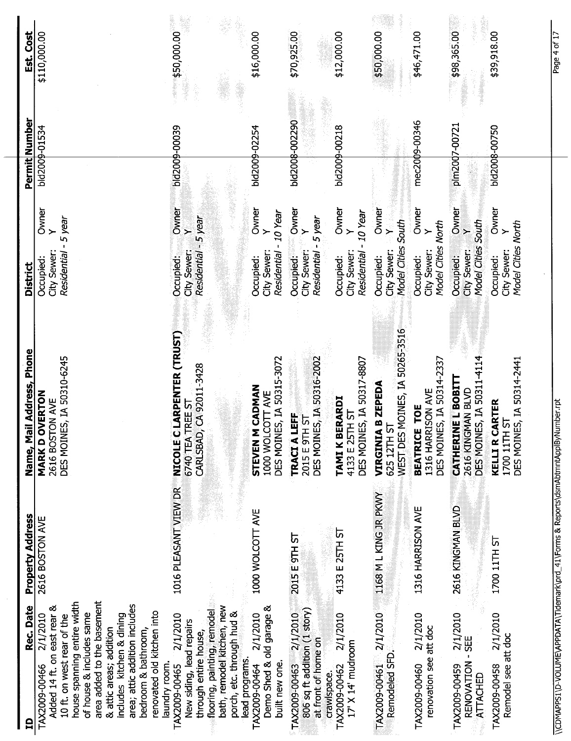| Est. Cost                 | \$110,000.00                                                                                                                                                                                                                                                                                                                                   | $\frac{1}{2}$ 50,000.00                                                                                                                                                                    | \$16,000.00                                                             | \$70,925.00                                                                                  | \$12,000.00                                                         | \$50,000.00                                                                          | \$46,471.00                                                              | \$98,365.00                                                                 | \$39,918.00                                                                | Page 4 of 17                                                                          |
|---------------------------|------------------------------------------------------------------------------------------------------------------------------------------------------------------------------------------------------------------------------------------------------------------------------------------------------------------------------------------------|--------------------------------------------------------------------------------------------------------------------------------------------------------------------------------------------|-------------------------------------------------------------------------|----------------------------------------------------------------------------------------------|---------------------------------------------------------------------|--------------------------------------------------------------------------------------|--------------------------------------------------------------------------|-----------------------------------------------------------------------------|----------------------------------------------------------------------------|---------------------------------------------------------------------------------------|
| Permit Number             | bld2009-01534                                                                                                                                                                                                                                                                                                                                  | bid2009-00039                                                                                                                                                                              | bld2009-02254                                                           | bld2008-002290                                                                               | bld2009-00218                                                       |                                                                                      | mec2009-00346                                                            | pim20d7-00721                                                               | bld2008-00750                                                              |                                                                                       |
| <b>District</b>           | Owner<br>Residential - 5 year<br>$\leftarrow$<br>City Sewer:<br>Occupied:                                                                                                                                                                                                                                                                      | Owner<br>Y<br>Residential - 5 year<br>City Sewer:<br>Occupied:                                                                                                                             | Owner<br>Residential - 10 Year<br>City Sewer:<br>Occupied:              | Owner<br>Y<br>City Sewer: Y<br>Residential - 5 year<br>Occupied:                             | Owner<br>Y<br>$-10$ Year<br>City Sewer:<br>Residential<br>Occupied: | Owner<br>Model Cities South<br>$\mathbf{Y}_{\text{max}}$<br>City Sewer:<br>Occupied: | Owner<br>Model Cities North<br>$\rightarrow$<br>City Sewer:<br>Occupied: | Owner<br>Y<br>Model Cities South<br>City Sewer:<br>Occupied:                | Owner<br>Model Cities North<br>City Sewer:<br>Occupied:                    |                                                                                       |
| Name, Mail Address, Phone | DES MOINES, IA 50310-6245<br><b>OVERTON</b><br>2616 BOSTON AVE<br><b>MARK D</b>                                                                                                                                                                                                                                                                | NICOLE CLARPENTER (TRUST)<br>CARLSBAD, CA 92011-3428<br><b>TREE ST</b><br>6740 TEA                                                                                                         | DES MOINES, IA 50315-3072<br>STEVEN M CADMAN<br>1000 WOLCOTT AVE        | DES MOINES, IA 50316-2002<br>LEFF<br>TRACIA LEFF<br>2015 E 9TH ST                            | 4133 E 25TH ST<br>DES MOINES, IA 50317-8807<br>TAMI K BERARDI       | WEST DES MOINES, IA 50265-3516<br><b>VIRGINIA B ZEPEDA</b><br>625 12TH ST            | DES MOINES, IA 50314-2337<br>1316 HARRISON AVE<br>BEATRICE TOE           | DES MOINES, IA 50311-4114<br><b>CATHERINE L BOBITT</b><br>2616 KINGMAN BLVD | DES MOINES, IA 50314-2441<br>CARTER<br>1700 11TH ST<br>KELLIR <sup>(</sup> |                                                                                       |
| <b>Property Address</b>   | 2616 BOSTON AVE                                                                                                                                                                                                                                                                                                                                | 1016 PLEASANT VIEW DR                                                                                                                                                                      | 1000 WOLCOTT AVE                                                        | 2015 E 9TH ST                                                                                | 4133 E 25TH ST                                                      | 1168 M L KING JR PKWY                                                                | 1316 HARRISON AVE                                                        | 2616 KINGMAN BLVD                                                           | 1700 11TH ST                                                               |                                                                                       |
| Rec. Date<br>日            | area added to the basement<br>house spanning entire width<br>area; attic addition includes<br>Added 14 ft. on east rear &<br>renovated old kitchen into<br>of house & includes same<br>2/1/2010<br>includes kitchen & dining<br>10 ft. on west rear of the<br>bedroom & bathroom,<br>& attic areas; addition<br>laundry room.<br>TAX2009-00466 | flooring, painting, remodel<br>bath, remodel kitchen, new<br>porch, etc. through hud &<br>2/1/2010<br>New siding, lead repairs<br>through entire house,<br>lead programs.<br>TAX2009-00465 | Demo Shed & old garage &<br>2/1/2010<br>TAX2009-00464<br>built new one. | TAX2009-00463 2/1/2010<br>806 sq ft addition (1 story)<br>at front of home on<br>crawlspace. | 2/1/2010<br>17' X 14' mudroom<br>TAX2009-00462                      | TAX2009-00461 2/1/2010<br>Remodeled SFD.                                             | 2/1/2010<br>renovation see att doc<br>TAX2009-00460                      | 2/1/2010<br>RENOVATION - SEE<br>TAX2009-00459<br><b>ATTACHED</b>            | 2/1/2010<br>Remodel see att doc<br>TAX2009-00458                           | \\CDMAPPS1\D-VOLUME\APPDATA\Tidemark\prd_41\Forms & Reports\dsmAbtmntApplByNumber.rpt |